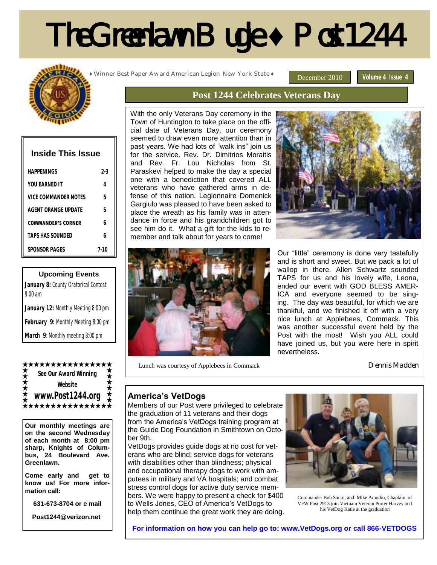# The Greenlawn Bugle **♦** Post 1244



| <b>Inside This Issue</b>  |         |
|---------------------------|---------|
| HAPPFNINGS                | 2-3     |
| YOU FARNED IT             | 4       |
| VICE COMMANDER NOTES      | 5       |
| AGENT ORANGE UPDATE       | 5       |
| <b>COMMANDER'S CORNER</b> | h       |
| <b>TAPS HAS SOUNDED</b>   | h       |
| SPONSOR PAGES             | $7-1()$ |

#### **Upcoming Events**

| January 8: County Oratorical Contest<br>$9:00$ am |
|---------------------------------------------------|
| January 12: Monthly Meeting 8:00 pm               |
| February 9: Monthly Meeting 8:00 pm               |
| March 9: Monthly meeting 8:00 pm                  |

#### \*\*\*\*\*\*\*\*\*\*\*\*

**See Our Award Winning Website www.Post1244.org** \*\*\*\*\*\*\*\*\*\*\*\*\*

**Our monthly meetings are on the second Wednesday of each month at 8:00 pm sharp, Knights of Columbus, 24 Boulevard Ave. Greenlawn.** 

**Come early and get to know us! For more information call:**

**631-673-8704 or e mail**

 **Post1244@verizon.net**

**♦** Winner Best Paper Award American Legion New York State **♦**

December 2010 **Volume 4 Issue 4** 

### **Post 1244 Celebrates Veterans Day**

With the only Veterans Day ceremony in the Town of Huntington to take place on the official date of Veterans Day, our ceremony seemed to draw even more attention than in past years. We had lots of "walk ins" join us for the service. Rev. Dr. Dimitrios Moraitis and Rev. Fr. Lou Nicholas from St. Paraskevi helped to make the day a special one with a benediction that covered ALL veterans who have gathered arms in defense of this nation. Legionnaire Domenick Gargiulo was pleased to have been asked to place the wreath as his family was in attendance in force and his grandchildren got to see him do it. What a gift for the kids to remember and talk about for years to come!





Our "little" ceremony is done very tastefully and is short and sweet. But we pack a lot of wallop in there. Allen Schwartz sounded TAPS for us and his lovely wife, Leona, ended our event with GOD BLESS AMER-ICA and everyone seemed to be singing. The day was beautiful, for which we are thankful, and we finished it off with a very nice lunch at Applebees, Commack. This was another successful event held by the Post with the most! Wish you ALL could have joined us, but you were here in spirit nevertheless.

Lunch was courtesy of Applebees in Commack

Dennis Madden

#### **America's VetDogs**

Members of our Post were privileged to celebrate the graduation of 11 veterans and their dogs from the America's VetDogs training program at the Guide Dog Foundation in Smithtown on October 9th.

VetDogs provides guide dogs at no cost for veterans who are blind; service dogs for veterans with disabilities other than blindness; physical and occupational therapy dogs to work with amputees in military and VA hospitals; and combat stress control dogs for active duty service members. We were happy to present a check for \$400 to Wells Jones, CEO of America's VetDogs to help them continue the great work they are doing.



Commander Bob Santo, and Mike Amodio, Chaplain of VFW Post 2913 join Vietnam Veteran Porter Harvey and his VetDog Katie at the graduation

**For information on how you can help go to: www.VetDogs.org or call 866-VETDOGS**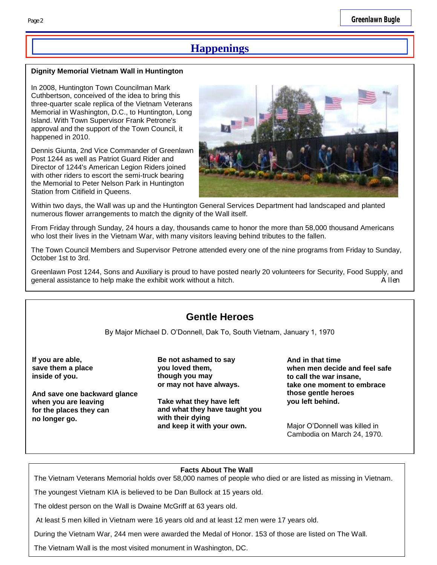## **Happenings**

#### **Dignity Memorial Vietnam Wall in Huntington**

In 2008, Huntington Town Councilman Mark Cuthbertson, conceived of the idea to bring this three-quarter scale replica of the Vietnam Veterans Memorial in Washington, D.C., to Huntington, Long Island. With Town Supervisor Frank Petrone's approval and the support of the Town Council, it happened in 2010.

Dennis Giunta, 2nd Vice Commander of Greenlawn Post 1244 as well as Patriot Guard Rider and Director of 1244's American Legion Riders joined with other riders to escort the semi-truck bearing the Memorial to Peter Nelson Park in Huntington Station from Citifield in Queens.



Within two days, the Wall was up and the Huntington General Services Department had landscaped and planted numerous flower arrangements to match the dignity of the Wall itself.

From Friday through Sunday, 24 hours a day, thousands came to honor the more than 58,000 thousand Americans who lost their lives in the Vietnam War, with many visitors leaving behind tributes to the fallen.

The Town Council Members and Supervisor Petrone attended every one of the nine programs from Friday to Sunday, October 1st to 3rd.

Greenlawn Post 1244, Sons and Auxiliary is proud to have posted nearly 20 volunteers for Security, Food Supply, and general assistance to help make the exhibit work without a hitch. Allen

## **Gentle Heroes**

By Major Michael D. O'Donnell, Dak To, South Vietnam, January 1, 1970

 **If you are able, save them a place inside of you.**

 **And save one backward glance when you are leaving for the places they can no longer go.** 

**Be not ashamed to say you loved them, though you may or may not have always.**

**Take what they have left and what they have taught you with their dying and keep it with your own.**

**And in that time when men decide and feel safe to call the war insane, take one moment to embrace those gentle heroes you left behind.**

Major O'Donnell was killed in Cambodia on March 24, 1970.

#### **Facts About The Wall**

The Vietnam Veterans Memorial holds over 58,000 names of people who died or are listed as missing in Vietnam.

The youngest Vietnam KIA is believed to be Dan Bullock at 15 years old.

The oldest person on the Wall is Dwaine McGriff at 63 years old.

At least 5 men killed in Vietnam were 16 years old and at least 12 men were 17 years old.

During the Vietnam War, 244 men were awarded the Medal of Honor. 153 of those are listed on The Wall.

The Vietnam Wall is the most visited monument in Washington, DC.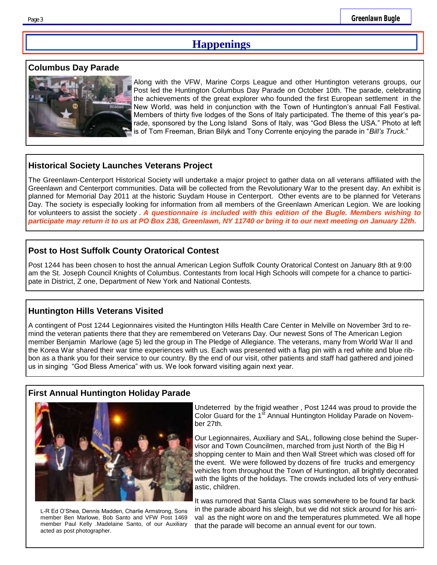## **Happenings**

#### **Columbus Day Parade**



Along with the VFW, Marine Corps League and other Huntington veterans groups, our Post led the Huntington Columbus Day Parade on October 10th. The parade, celebrating the achievements of the great explorer who founded the first European settlement in the New World, was held in conjunction with the Town of Huntington's annual Fall Festival. Members of thirty five lodges of the Sons of Italy participated. The theme of this year's parade, sponsored by the Long Island Sons of Italy, was "God Bless the USA." Photo at left is of Tom Freeman, Brian Bilyk and Tony Corrente enjoying the parade in "*Bill's Truck*."

#### **Historical Society Launches Veterans Project**

The Greenlawn-Centerport Historical Society will undertake a major project to gather data on all veterans affiliated with the Greenlawn and Centerport communities. Data will be collected from the Revolutionary War to the present day. An exhibit is planned for Memorial Day 2011 at the historic Suydam House in Centerport. Other events are to be planned for Veterans Day. The society is especially looking for information from all members of the Greenlawn American Legion. We are looking for volunteers to assist the society . *A questionnaire is included with this edition of the Bugle. Members wishing to participate may return it to us at PO Box 238, Greenlawn, NY 11740 or bring it to our next meeting on January 12th.*

#### **Post to Host Suffolk County Oratorical Contest**

Post 1244 has been chosen to host the annual American Legion Suffolk County Oratorical Contest on January 8th at 9:00 am the St. Joseph Council Knights of Columbus. Contestants from local High Schools will compete for a chance to participate in District, Z one, Department of New York and National Contests.

#### **Huntington Hills Veterans Visited**

A contingent of Post 1244 Legionnaires visited the Huntington Hills Health Care Center in Melville on November 3rd to remind the veteran patients there that they are remembered on Veterans Day. Our newest Sons of The American Legion member Benjamin Marlowe (age 5) led the group in The Pledge of Allegiance. The veterans, many from World War II and the Korea War shared their war time experiences with us. Each was presented with a flag pin with a red white and blue ribbon as a thank you for their service to our country. By the end of our visit, other patients and staff had gathered and joined us in singing "God Bless America" with us. We look forward visiting again next year.

### **First Annual Huntington Holiday Parade**



L-R Ed O'Shea, Dennis Madden, Charlie Armstrong, Sons member Ben Marlowe, Bob Santo and VFW Post 1469 member Paul Kelly .Madelaine Santo, of our Auxiliary acted as post photographer.

Undeterred by the frigid weather , Post 1244 was proud to provide the Color Guard for the 1<sup>st</sup> Annual Huntington Holiday Parade on November 27th.

Our Legionnaires, Auxiliary and SAL, following close behind the Supervisor and Town Councilmen, marched from just North of the Big H shopping center to Main and then Wall Street which was closed off for the event. We were followed by dozens of fire trucks and emergency vehicles from throughout the Town of Huntington, all brightly decorated with the lights of the holidays. The crowds included lots of very enthusiastic, children.

It was rumored that Santa Claus was somewhere to be found far back in the parade aboard his sleigh, but we did not stick around for his arrival as the night wore on and the temperatures plummeted. We all hope that the parade will become an annual event for our town.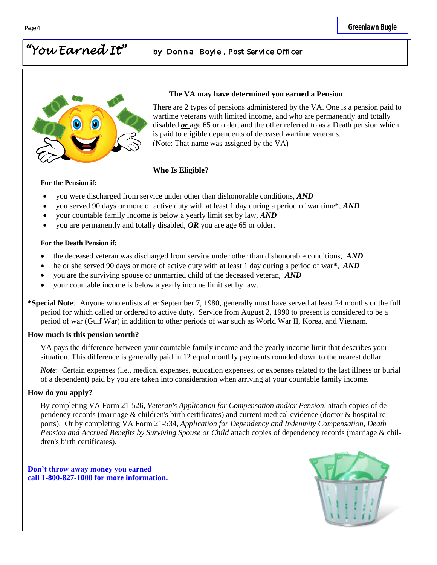## *"You Earned It" by Donna Boyle , Post Service Officer*



#### **The VA may have determined you earned a Pension**

There are 2 types of pensions administered by the VA. One is a pension paid to wartime veterans with limited income, and who are permanently and totally disabled *or* age 65 or older, and the other referred to as a Death pension which is paid to eligible dependents of deceased wartime veterans. (Note: That name was assigned by the VA)

#### **Who Is Eligible?**

#### **For the Pension if:**

- you were discharged from service under other than dishonorable conditions, *AND*
- you served 90 days or more of active duty with at least 1 day during a period of war time\*, *AND*
- your countable family income is below a yearly limit set by law, *AND*
- you are permanently and totally disabled, *OR* you are age 65 or older.

#### **For the Death Pension if:**

- the deceased veteran was discharged from service under other than dishonorable conditions, *AND*
- he or she served 90 days or more of active duty with at least 1 day during a period of war**\***, *AND*
- you are the surviving spouse or unmarried child of the deceased veteran, *AND*
- your countable income is below a yearly income limit set by law.
- **\*Special Note***:* Anyone who enlists after September 7, 1980, generally must have served at least 24 months or the full period for which called or ordered to active duty. Service from August 2, 1990 to present is considered to be a period of war (Gulf War) in addition to other periods of war such as World War II, Korea, and Vietnam.

#### **How much is this pension worth?**

VA pays the difference between your countable family income and the yearly income limit that describes your situation. This difference is generally paid in 12 equal monthly payments rounded down to the nearest dollar.

*Note*: Certain expenses (i.e., medical expenses, education expenses, or expenses related to the last illness or burial of a dependent) paid by you are taken into consideration when arriving at your countable family income.

#### **How do you apply?**

By completing VA Form 21-526, *Veteran's Application for Compensation and/or Pension,* attach copies of dependency records (marriage & children's birth certificates) and current medical evidence (doctor & hospital reports). Or by completing VA Form 21-534, *Application for Dependency and Indemnity Compensation, Death Pension and Accrued Benefits by Surviving Spouse or Child* attach copies of dependency records (marriage & children's birth certificates).

**Don't throw away money you earned call 1-800-827-1000 for more information.**

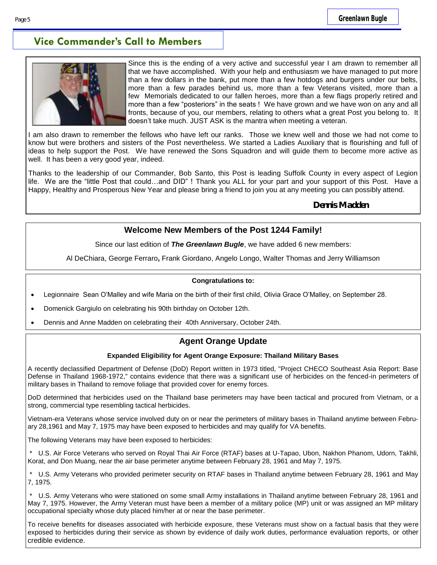## **Vice Commander's Call to Members**



Since this is the ending of a very active and successful year I am drawn to remember all that we have accomplished. With your help and enthusiasm we have managed to put more than a few dollars in the bank, put more than a few hotdogs and burgers under our belts, more than a few parades behind us, more than a few Veterans visited, more than a few Memorials dedicated to our fallen heroes, more than a few flags properly retired and more than a few "posteriors" in the seats ! We have grown and we have won on any and all fronts, because of you, our members, relating to others what a great Post you belong to. It doesn't take much. JUST ASK is the mantra when meeting a veteran.

I am also drawn to remember the fellows who have left our ranks. Those we knew well and those we had not come to know but were brothers and sisters of the Post nevertheless. We started a Ladies Auxiliary that is flourishing and full of ideas to help support the Post. We have renewed the Sons Squadron and will guide them to become more active as well. It has been a very good year, indeed.

Thanks to the leadership of our Commander, Bob Santo, this Post is leading Suffolk County in every aspect of Legion life. We are the "little Post that could…and DID" ! Thank you ALL for your part and your support of this Post. Have a Happy, Healthy and Prosperous New Year and please bring a friend to join you at any meeting you can possibly attend.

**Dennis Madden**

#### **Welcome New Members of the Post 1244 Family!**

Since our last edition of *The Greenlawn Bugle*, we have added 6 new members:

Al DeChiara, George Ferraro**,** Frank Giordano, Angelo Longo, Walter Thomas and Jerry Williamson

#### **Congratulations to:**

- Legionnaire Sean O'Malley and wife Maria on the birth of their first child, Olivia Grace O'Malley, on September 28.
- Domenick Gargiulo on celebrating his 90th birthday on October 12th.
- Dennis and Anne Madden on celebrating their 40th Anniversary, October 24th.

### **Agent Orange Update**

#### **Expanded Eligibility for Agent Orange Exposure: Thailand Military Bases**

A recently declassified Department of Defense (DoD) Report written in 1973 titled, "Project CHECO Southeast Asia Report: Base Defense in Thailand 1968-1972," contains evidence that there was a significant use of herbicides on the fenced-in perimeters of military bases in Thailand to remove foliage that provided cover for enemy forces.

DoD determined that herbicides used on the Thailand base perimeters may have been tactical and procured from Vietnam, or a strong, commercial type resembling tactical herbicides.

Vietnam-era Veterans whose service involved duty on or near the perimeters of military bases in Thailand anytime between February 28,1961 and May 7, 1975 may have been exposed to herbicides and may qualify for VA benefits.

The following Veterans may have been exposed to herbicides:

\* U.S. Air Force Veterans who served on Royal Thai Air Force (RTAF) bases at U-Tapao, Ubon, Nakhon Phanom, Udorn, Takhli, Korat, and Don Muang, near the air base perimeter anytime between February 28, 1961 and May 7, 1975.

\* U.S. Army Veterans who provided perimeter security on RTAF bases in Thailand anytime between February 28, 1961 and May 7, 1975.

U.S. Army Veterans who were stationed on some small Army installations in Thailand anytime between February 28, 1961 and May 7, 1975. However, the Army Veteran must have been a member of a military police (MP) unit or was assigned an MP military occupational specialty whose duty placed him/her at or near the base perimeter.

To receive benefits for diseases associated with herbicide exposure, these Veterans must show on a factual basis that they were exposed to herbicides during their service as shown by evidence of daily work duties, performance evaluation reports, or other credible evidence.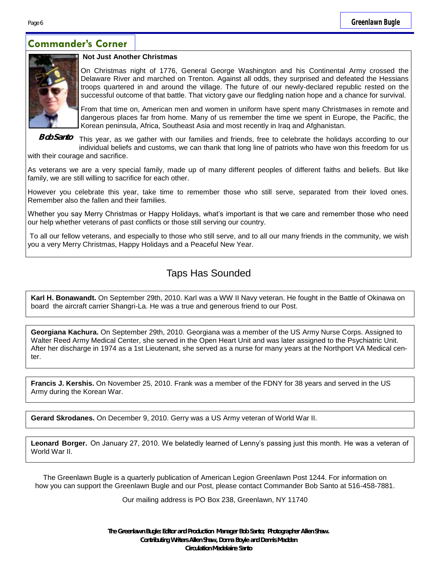## **Commander's Corner**



#### **Not Just Another Christmas**

On Christmas night of 1776, General George Washington and his Continental Army crossed the Delaware River and marched on Trenton. Against all odds, they surprised and defeated the Hessians troops quartered in and around the village. The future of our newly-declared republic rested on the successful outcome of that battle. That victory gave our fledgling nation hope and a chance for survival.

From that time on, American men and women in uniform have spent many Christmases in remote and dangerous places far from home. Many of us remember the time we spent in Europe, the Pacific, the Korean peninsula, Africa, Southeast Asia and most recently in Iraq and Afghanistan.

This year, as we gather with our families and friends, free to celebrate the holidays according to our individual beliefs and customs, we can thank that long line of patriots who have won this freedom for us with their courage and sacrifice. **Bob Santo**

As veterans we are a very special family, made up of many different peoples of different faiths and beliefs. But like family, we are still willing to sacrifice for each other.

However you celebrate this year, take time to remember those who still serve, separated from their loved ones. Remember also the fallen and their families.

Whether you say Merry Christmas or Happy Holidays, what's important is that we care and remember those who need our help whether veterans of past conflicts or those still serving our country.

To all our fellow veterans, and especially to those who still serve, and to all our many friends in the community, we wish you a very Merry Christmas, Happy Holidays and a Peaceful New Year.

## Taps Has Sounded

**Karl H. Bonawandt.** On September 29th, 2010. Karl was a WW II Navy veteran. He fought in the Battle of Okinawa on board the aircraft carrier Shangri-La. He was a true and generous friend to our Post.

**Georgiana Kachura.** On September 29th, 2010. Georgiana was a member of the US Army Nurse Corps. Assigned to Walter Reed Army Medical Center, she served in the Open Heart Unit and was later assigned to the Psychiatric Unit. After her discharge in 1974 as a 1st Lieutenant, she served as a nurse for many years at the Northport VA Medical cen $t$ er

**Francis J. Kershis.** On November 25, 2010. Frank was a member of the FDNY for 38 years and served in the US Army during the Korean War.

**Gerard Skrodanes.** On December 9, 2010. Gerry was a US Army veteran of World War II.

**Leonard Borger.** On January 27, 2010. We belatedly learned of Lenny's passing just this month. He was a veteran of World War II.

The Greenlawn Bugle is a quarterly publication of American Legion Greenlawn Post 1244. For information on how you can support the Greenlawn Bugle and our Post, please contact Commander Bob Santo at 516-458-7881.

Our mailing address is PO Box 238, Greenlawn, NY 11740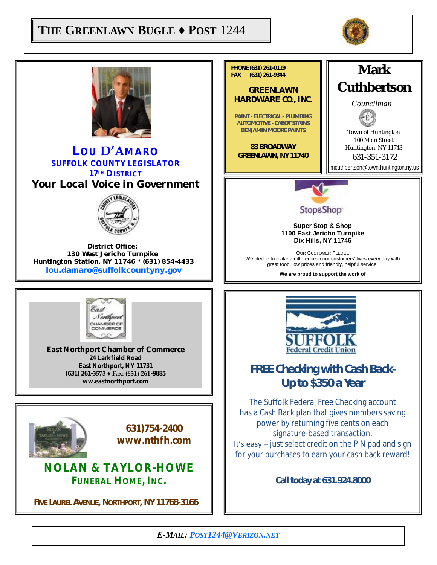## $\begin{bmatrix} \mathbf{THE} \ \mathbf{GREENLAWN} \ \mathbf{BUGLE} \ \mathbf{\blacklozenge} \ \mathbf{POST} \ \ 1244 \end{bmatrix}$



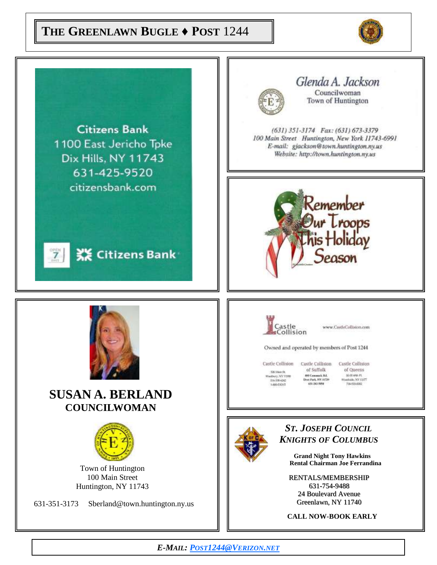## **THE GREENLAWN BUGLE ♦ POST** 1244



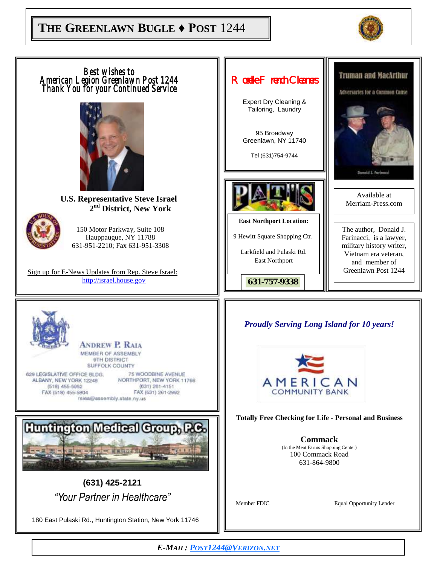## **THE GREENLAWN BUGLE ♦ POST** 1244



*Best wishes to*  **Truman and MacArthur** *Roselle French Cleaners American Legion Greenlawn Post 1244 Thank You for your Continued Service*  **Adversaries for a Common Cause** Expert Dry Cleaning & Tailoring, Laundry 95 Broadway Greenlawn, NY 11740 Tel (631)754-9744 Available at **U.S. Representative Steve Israel** Merriam-Press.com **2 nd District, New York East Northport Location:**  150 Motor Parkway, Suite 108 The author, Donald J. 9 Hewitt Square Shopping Ctr. Hauppaugue, NY 11788 Farinacci, is a lawyer, 631-951-2210; Fax 631-951-3308 military history writer, Larkfield and Pulaski Rd. Vietnam era veteran, East Northport and member of Greenlawn Post 1244Sign up for E-News Updates from Rep. Steve Israel: http://israel.house.gov *631-757-9338 Proudly Serving Long Island for 10 years!* **ANDREW P. RAIA** MEMBER OF ASSEMBLY 9TH DISTRICT **SUFFOLK COUNTY** 629 LEGISLATIVE OFFICE BLDG. **75 WOODBINE AVENUE** ALBANY, NEW YORK 12248 NORTHPORT, NEW YORK 11768 AMERICAN  $(631)$   $261 - 4151$  $(518)$  455-5952 **COMMUNITY BANK** FAX (518) 455-5804 FAX (631) 261-2992 raina@assembly.state.ny.us **Totally Free Checking for Life - Personal and Business** Huntington Medical Croup, RC. **Commack** (In the Meat Farms Shopping Center) 100 Commack Road 631-864-9800 **(631) 425-2121** *"Your Partner in Healthcare"* Member FDIC Equal Opportunity Lender 180 East Pulaski Rd., Huntington Station, New York 11746